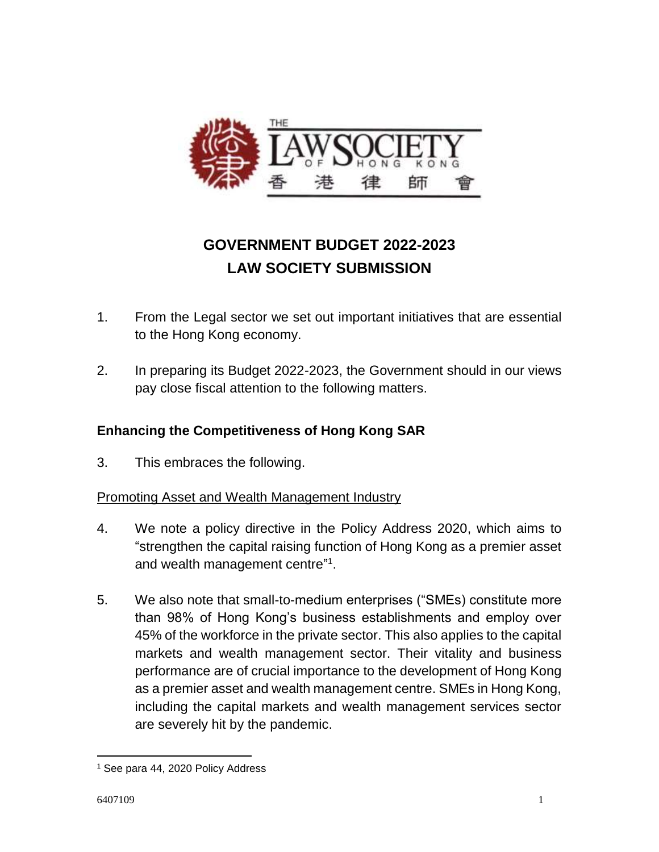

# **GOVERNMENT BUDGET 2022-2023 LAW SOCIETY SUBMISSION**

- 1. From the Legal sector we set out important initiatives that are essential to the Hong Kong economy.
- 2. In preparing its Budget 2022-2023, the Government should in our views pay close fiscal attention to the following matters.

# **Enhancing the Competitiveness of Hong Kong SAR**

3. This embraces the following.

# Promoting Asset and Wealth Management Industry

- 4. We note a policy directive in the Policy Address 2020, which aims to "strengthen the capital raising function of Hong Kong as a premier asset and wealth management centre"<sup>1</sup>.
- 5. We also note that small-to-medium enterprises ("SMEs) constitute more than 98% of Hong Kong's business establishments and employ over 45% of the workforce in the private sector. This also applies to the capital markets and wealth management sector. Their vitality and business performance are of crucial importance to the development of Hong Kong as a premier asset and wealth management centre. SMEs in Hong Kong, including the capital markets and wealth management services sector are severely hit by the pandemic.

 $\overline{a}$ 

<sup>1</sup> See para 44, 2020 Policy Address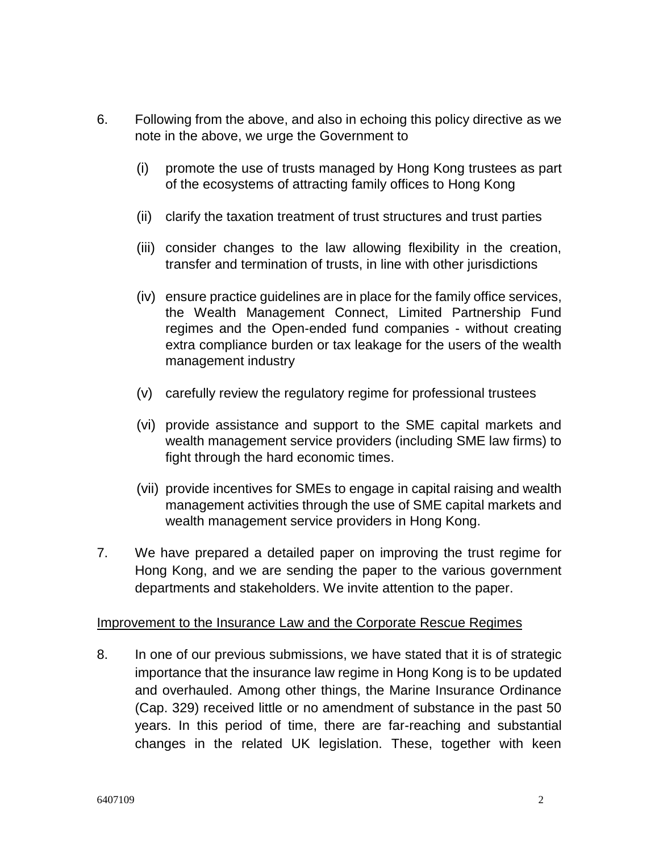- 6. Following from the above, and also in echoing this policy directive as we note in the above, we urge the Government to
	- (i) promote the use of trusts managed by Hong Kong trustees as part of the ecosystems of attracting family offices to Hong Kong
	- (ii) clarify the taxation treatment of trust structures and trust parties
	- (iii) consider changes to the law allowing flexibility in the creation, transfer and termination of trusts, in line with other jurisdictions
	- (iv) ensure practice guidelines are in place for the family office services, the Wealth Management Connect, Limited Partnership Fund regimes and the Open-ended fund companies - without creating extra compliance burden or tax leakage for the users of the wealth management industry
	- (v) carefully review the regulatory regime for professional trustees
	- (vi) provide assistance and support to the SME capital markets and wealth management service providers (including SME law firms) to fight through the hard economic times.
	- (vii) provide incentives for SMEs to engage in capital raising and wealth management activities through the use of SME capital markets and wealth management service providers in Hong Kong.
- 7. We have prepared a detailed paper on improving the trust regime for Hong Kong, and we are sending the paper to the various government departments and stakeholders. We invite attention to the paper.

#### Improvement to the Insurance Law and the Corporate Rescue Regimes

8. In one of our previous submissions, we have stated that it is of strategic importance that the insurance law regime in Hong Kong is to be updated and overhauled. Among other things, the Marine Insurance Ordinance (Cap. 329) received little or no amendment of substance in the past 50 years. In this period of time, there are far-reaching and substantial changes in the related UK legislation. These, together with keen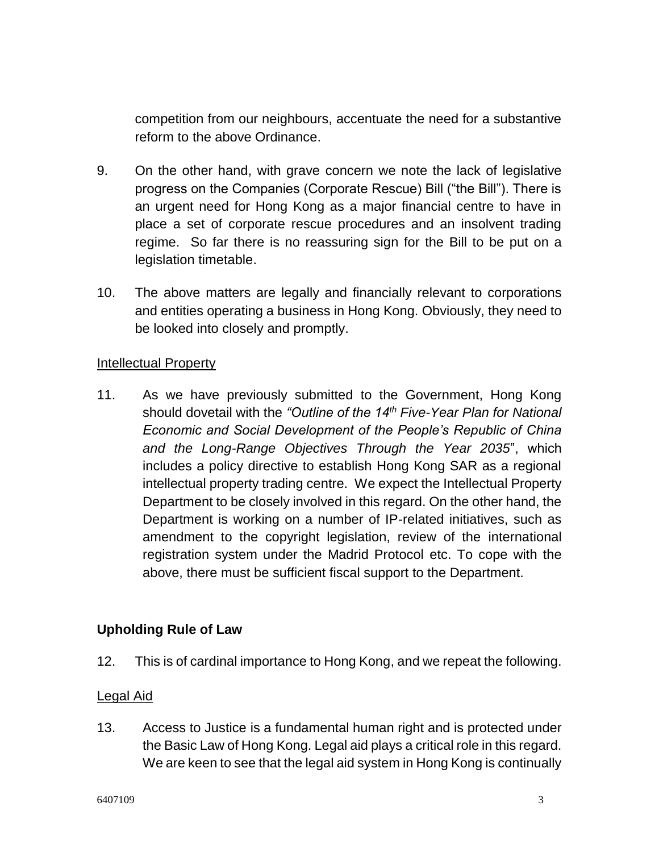competition from our neighbours, accentuate the need for a substantive reform to the above Ordinance.

- 9. On the other hand, with grave concern we note the lack of legislative progress on the Companies (Corporate Rescue) Bill ("the Bill"). There is an urgent need for Hong Kong as a major financial centre to have in place a set of corporate rescue procedures and an insolvent trading regime. So far there is no reassuring sign for the Bill to be put on a legislation timetable.
- 10. The above matters are legally and financially relevant to corporations and entities operating a business in Hong Kong. Obviously, they need to be looked into closely and promptly.

#### Intellectual Property

11. As we have previously submitted to the Government, Hong Kong should dovetail with the *"Outline of the 14th Five-Year Plan for National Economic and Social Development of the People's Republic of China and the Long-Range Objectives Through the Year 2035*", which includes a policy directive to establish Hong Kong SAR as a regional intellectual property trading centre. We expect the Intellectual Property Department to be closely involved in this regard. On the other hand, the Department is working on a number of IP-related initiatives, such as amendment to the copyright legislation, review of the international registration system under the Madrid Protocol etc. To cope with the above, there must be sufficient fiscal support to the Department.

### **Upholding Rule of Law**

12. This is of cardinal importance to Hong Kong, and we repeat the following.

#### Legal Aid

13. Access to Justice is a fundamental human right and is protected under the Basic Law of Hong Kong. Legal aid plays a critical role in this regard. We are keen to see that the legal aid system in Hong Kong is continually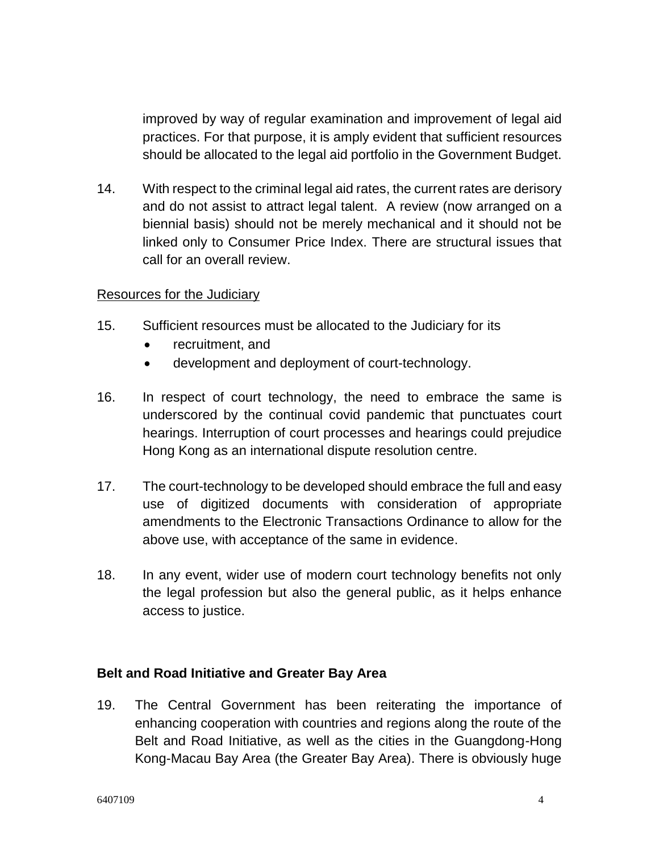improved by way of regular examination and improvement of legal aid practices. For that purpose, it is amply evident that sufficient resources should be allocated to the legal aid portfolio in the Government Budget.

14. With respect to the criminal legal aid rates, the current rates are derisory and do not assist to attract legal talent. A review (now arranged on a biennial basis) should not be merely mechanical and it should not be linked only to Consumer Price Index. There are structural issues that call for an overall review.

#### Resources for the Judiciary

- 15. Sufficient resources must be allocated to the Judiciary for its
	- recruitment, and
	- development and deployment of court-technology.
- 16. In respect of court technology, the need to embrace the same is underscored by the continual covid pandemic that punctuates court hearings. Interruption of court processes and hearings could prejudice Hong Kong as an international dispute resolution centre.
- 17. The court-technology to be developed should embrace the full and easy use of digitized documents with consideration of appropriate amendments to the Electronic Transactions Ordinance to allow for the above use, with acceptance of the same in evidence.
- 18. In any event, wider use of modern court technology benefits not only the legal profession but also the general public, as it helps enhance access to justice.

#### **Belt and Road Initiative and Greater Bay Area**

19. The Central Government has been reiterating the importance of enhancing cooperation with countries and regions along the route of the Belt and Road Initiative, as well as the cities in the Guangdong-Hong Kong-Macau Bay Area (the Greater Bay Area). There is obviously huge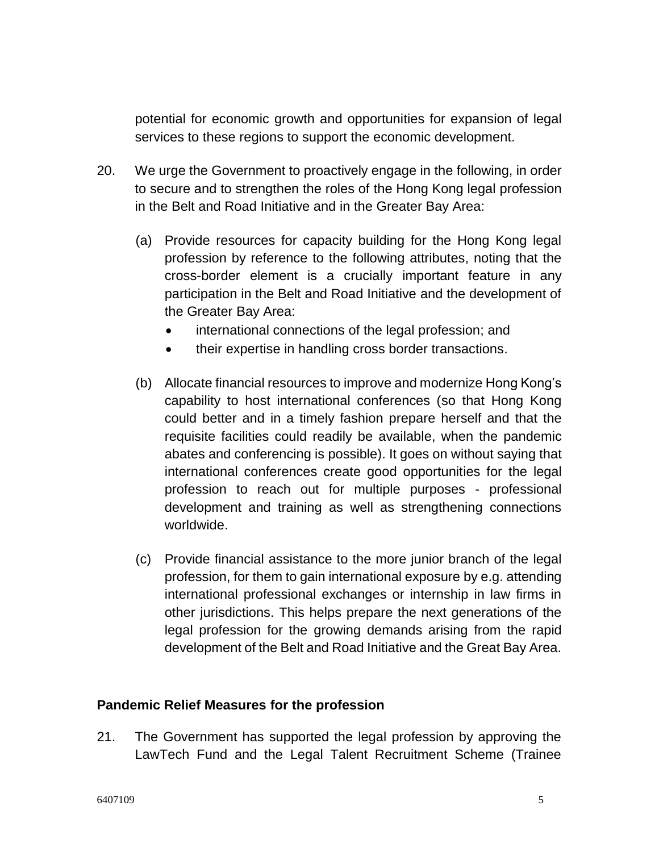potential for economic growth and opportunities for expansion of legal services to these regions to support the economic development.

- 20. We urge the Government to proactively engage in the following, in order to secure and to strengthen the roles of the Hong Kong legal profession in the Belt and Road Initiative and in the Greater Bay Area:
	- (a) Provide resources for capacity building for the Hong Kong legal profession by reference to the following attributes, noting that the cross-border element is a crucially important feature in any participation in the Belt and Road Initiative and the development of the Greater Bay Area:
		- international connections of the legal profession; and
		- their expertise in handling cross border transactions.
	- (b) Allocate financial resources to improve and modernize Hong Kong's capability to host international conferences (so that Hong Kong could better and in a timely fashion prepare herself and that the requisite facilities could readily be available, when the pandemic abates and conferencing is possible). It goes on without saying that international conferences create good opportunities for the legal profession to reach out for multiple purposes - professional development and training as well as strengthening connections worldwide.
	- (c) Provide financial assistance to the more junior branch of the legal profession, for them to gain international exposure by e.g. attending international professional exchanges or internship in law firms in other jurisdictions. This helps prepare the next generations of the legal profession for the growing demands arising from the rapid development of the Belt and Road Initiative and the Great Bay Area.

#### **Pandemic Relief Measures for the profession**

21. The Government has supported the legal profession by approving the LawTech Fund and the Legal Talent Recruitment Scheme (Trainee